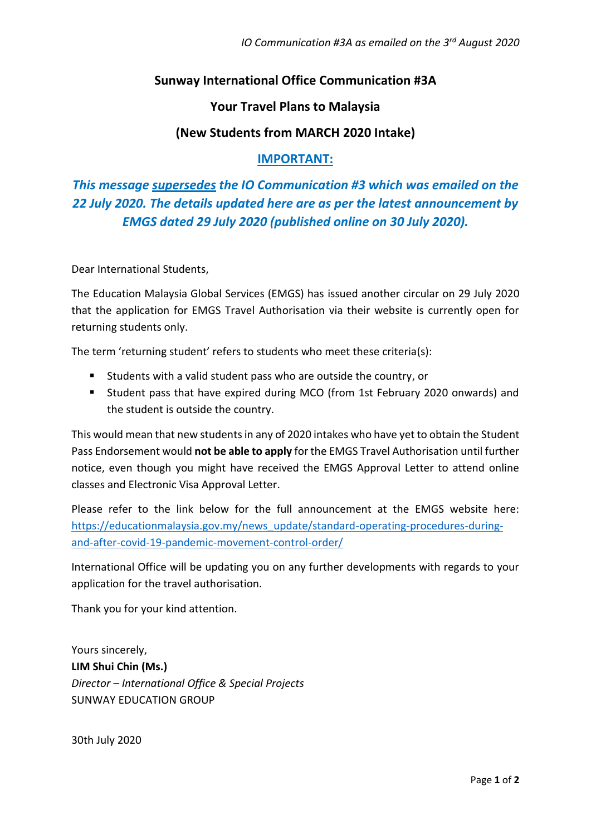## **Sunway International Office Communication #3A**

#### **Your Travel Plans to Malaysia**

### **(New Students from MARCH 2020 Intake)**

### **IMPORTANT:**

# *This message supersedes the IO Communication #3 which was emailed on the 22 July 2020. The details updated here are as per the latest announcement by EMGS dated 29 July 2020 (published online on 30 July 2020).*

Dear International Students,

The Education Malaysia Global Services (EMGS) has issued another circular on 29 July 2020 that the application for EMGS Travel Authorisation via their website is currently open for returning students only.

The term 'returning student' refers to students who meet these criteria(s):

- Students with a valid student pass who are outside the country, or
- Student pass that have expired during MCO (from 1st February 2020 onwards) and the student is outside the country.

This would mean that new students in any of 2020 intakes who have yet to obtain the Student Pass Endorsement would **not be able to apply** for the EMGS Travel Authorisation until further notice, even though you might have received the EMGS Approval Letter to attend online classes and Electronic Visa Approval Letter.

Please refer to the link below for the full announcement at the EMGS website here: [https://educationmalaysia.gov.my/news\\_update/standard-operating-procedures-during](https://educationmalaysia.gov.my/news_update/standard-operating-procedures-during-and-after-covid-19-pandemic-movement-control-order/)[and-after-covid-19-pandemic-movement-control-order/](https://educationmalaysia.gov.my/news_update/standard-operating-procedures-during-and-after-covid-19-pandemic-movement-control-order/)

International Office will be updating you on any further developments with regards to your application for the travel authorisation.

Thank you for your kind attention.

Yours sincerely, **LIM Shui Chin (Ms.)** *Director – International Office & Special Projects* SUNWAY EDUCATION GROUP

30th July 2020